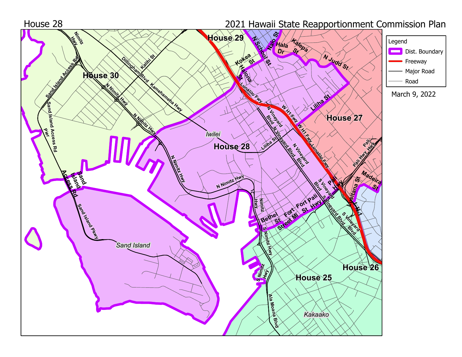